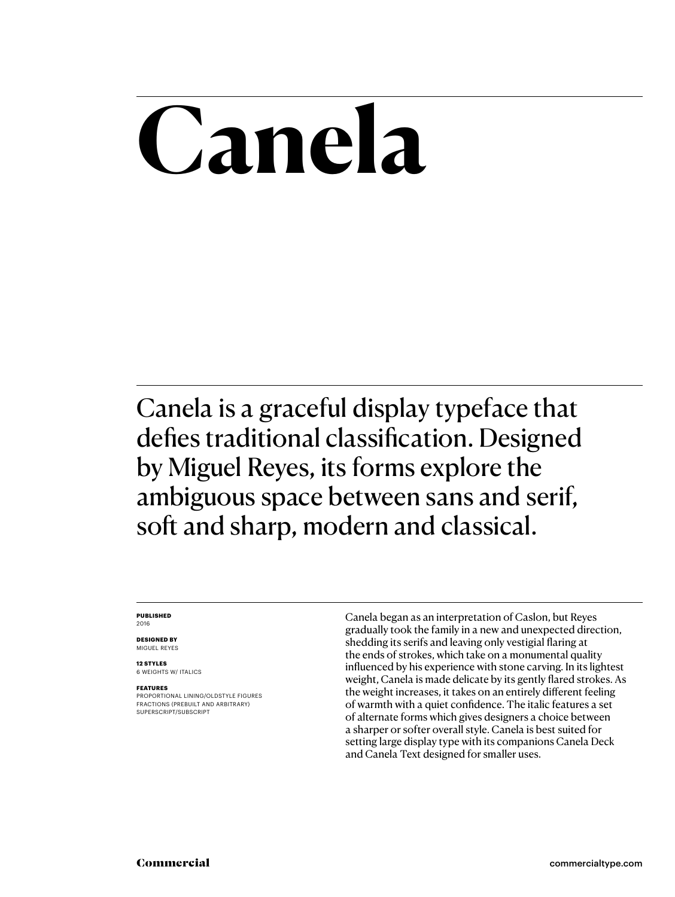## **Canela**

Canela is a graceful display typeface that defies traditional classification. Designed by Miguel Reyes, its forms explore the ambiguous space between sans and serif, soft and sharp, modern and classical.

#### **PUBLISHED** 2016

**DESIGNED BY** MIGUEL REYES

**12 STYLES** 6 WEIGHTS W/ ITALICS

#### **FEATURES**

PROPORTIONAL LINING/OLDSTYLE FIGURES FRACTIONS (PREBUILT AND ARBITRARY) SUPERSCRIPT/SUBSCRIPT

Canela began as an interpretation of Caslon, but Reyes gradually took the family in a new and unexpected direction, shedding its serifs and leaving only vestigial flaring at the ends of strokes, which take on a monumental quality influenced by his experience with stone carving. In its lightest weight, Canela is made delicate by its gently flared strokes. As the weight increases, it takes on an entirely different feeling of warmth with a quiet confidence. The italic features a set of alternate forms which gives designers a choice between a sharper or softer overall style. Canela is best suited for setting large display type with its companions Canela Deck and Canela Text designed for smaller uses.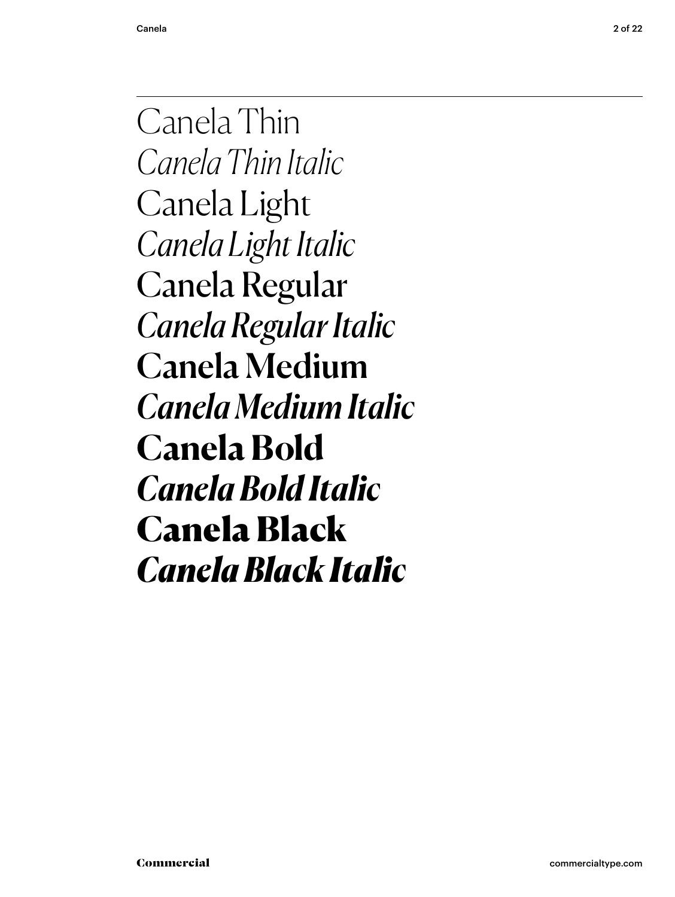Canela Thin *Canela Thin Italic* Canela Light *Canela Light Italic* Canela Regular *Canela Regular Italic* Canela Medium *Canela Medium Italic* **Canela Bold** *Canela Bold Italic* Canela Black *Canela Black Italic*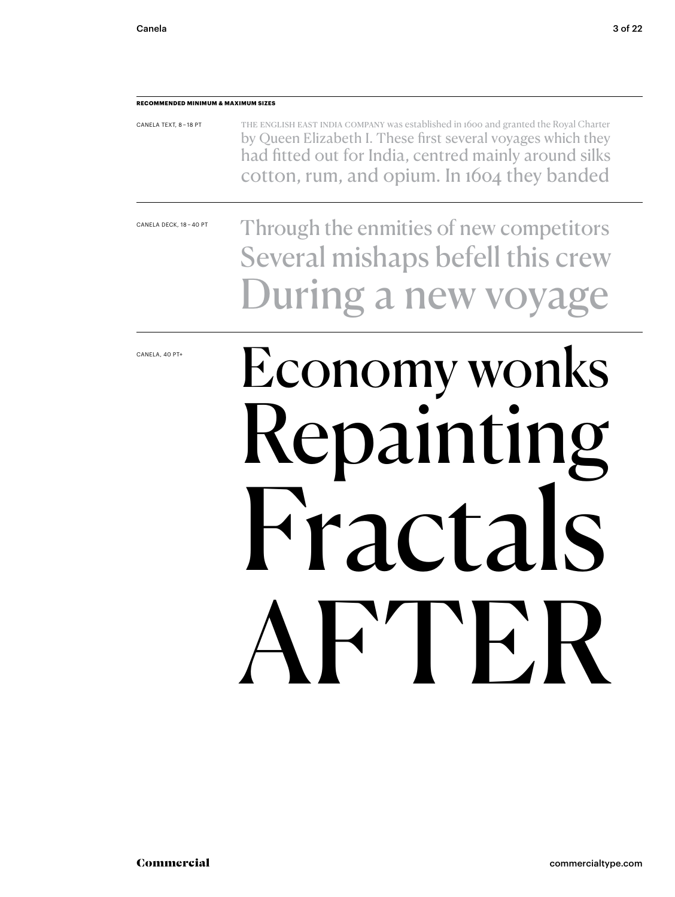#### **RECOMMENDED MINIMUM & MAXIMUM SIZES**

| CANELA TEXT, 8-18 PT | THE ENGLISH EAST INDIA COMPANY was established in 1600 and granted the Royal Charter |
|----------------------|--------------------------------------------------------------------------------------|
|                      | by Queen Elizabeth I. These first several voyages which they                         |
|                      | had fitted out for India, centred mainly around silks                                |
|                      | cotton, rum, and opium. In 1604 they banded                                          |

CANELA DECK, 18 – 40 PT

Through the enmities of new competitors Several mishaps befell this crew During a new voya

CANELA, 40 PT+

## Economy wonks Repainting Fractals **THE**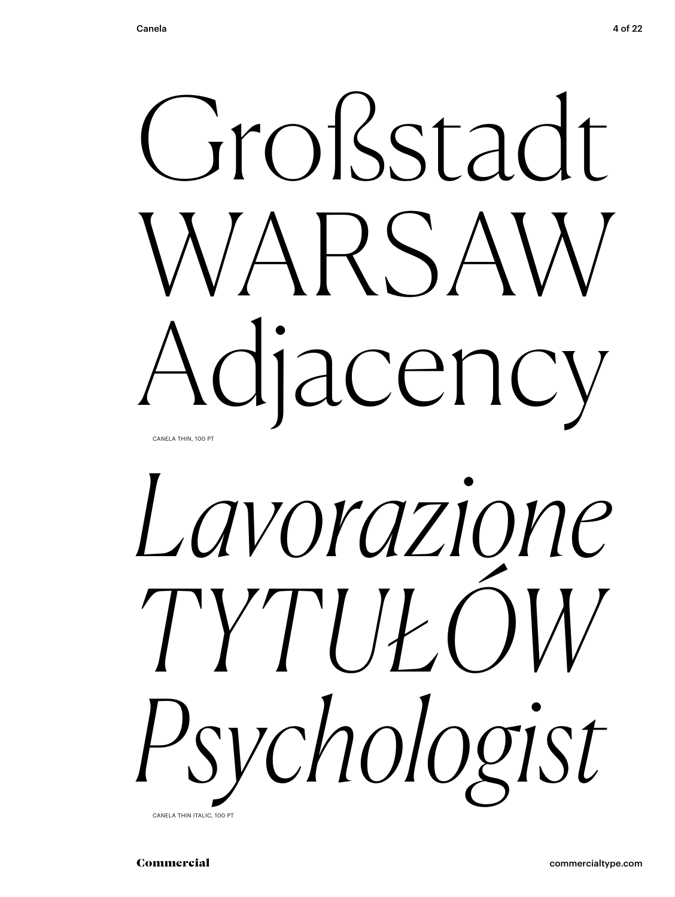



CANELA THIN ITALIC, 100 PT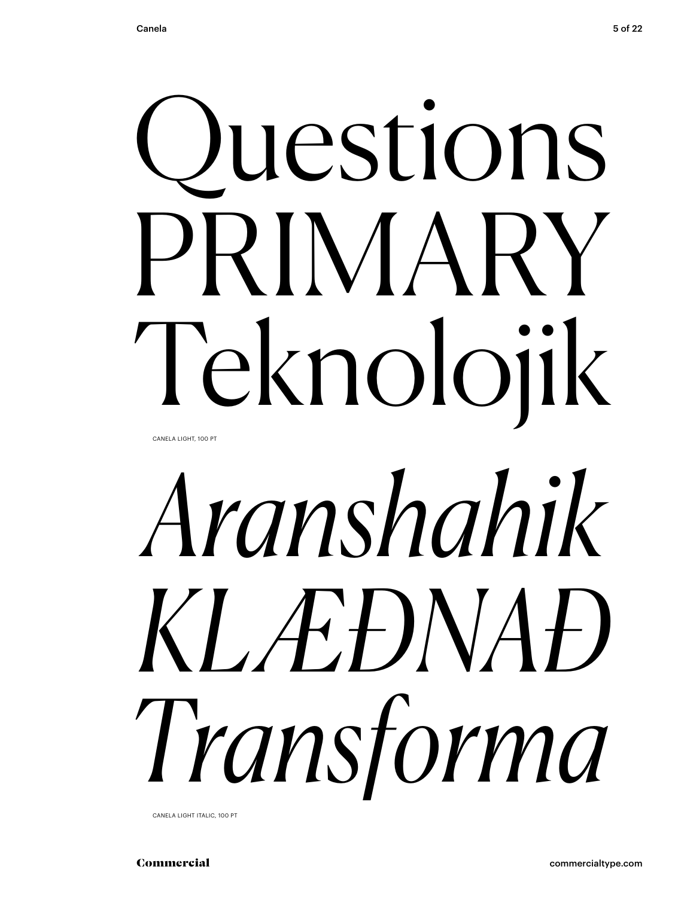# Questions PRIMARY Teknolojik

CANELA LIGHT, 100 PT

# *Aranshahik KLÆÐNAÐ Transforma*

CANELA LIGHT ITALIC, 100 PT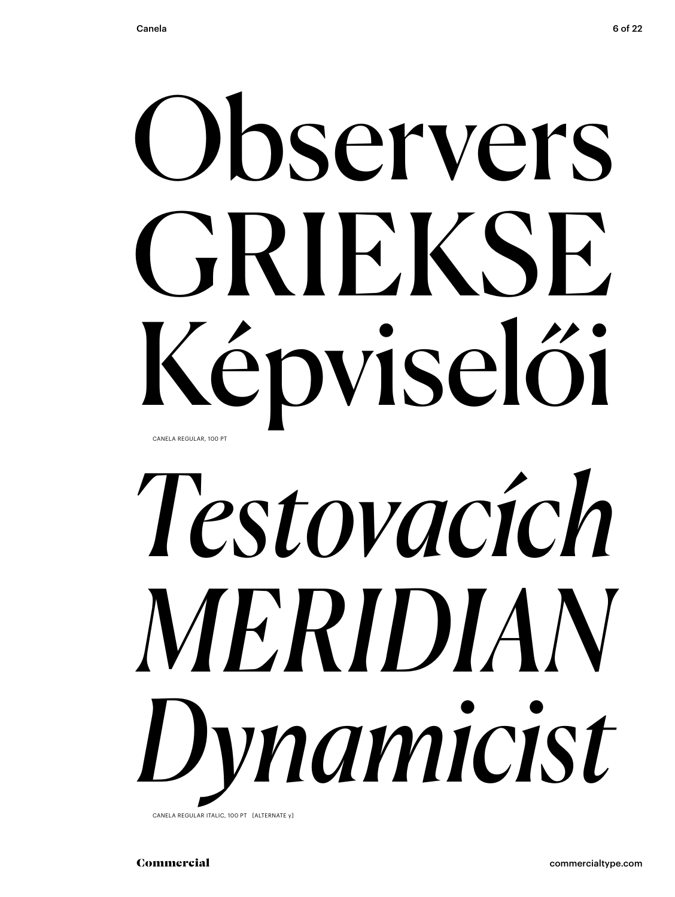## Ohservers GRIEKSE Képviselői CANELA REGULAR, 100 PT

# Testovacích MERIDIAN Dynamicist

CANELA REGULAR ITALIC, 100 PT [ALTERNATE y]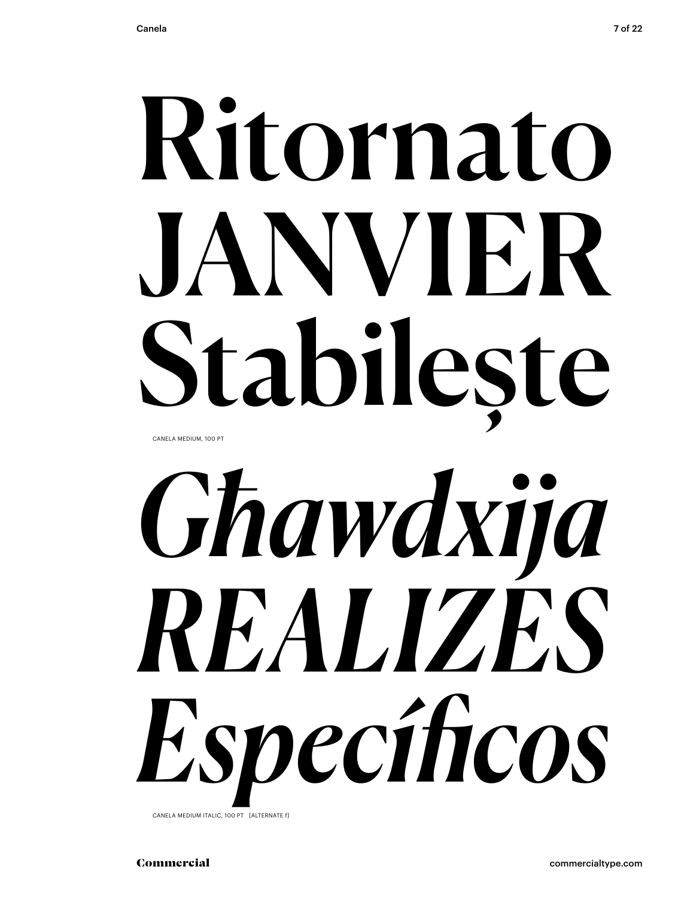## Ritornato JANVIER Stabilește CANELA MEDIUM, 100 PT



CANELA MEDIUM ITALIC, 100 PT [ALTERNATE f]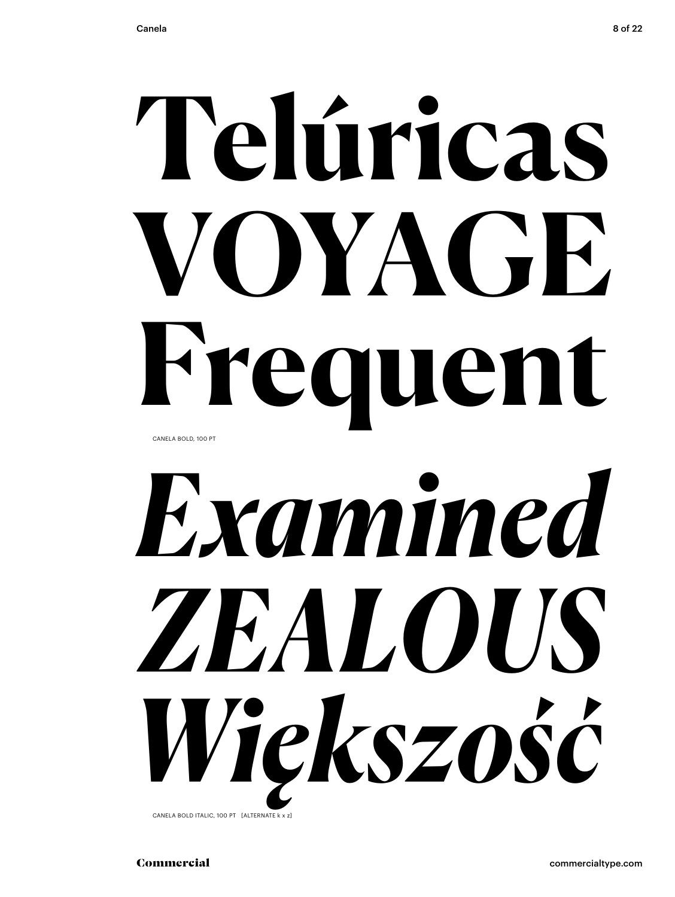## **Telúricas VOYAGE Frequent** CANELA BOLD, 100 PT



CANELA BOLD ITALIC, 100 PT [ALTERNATE k x z]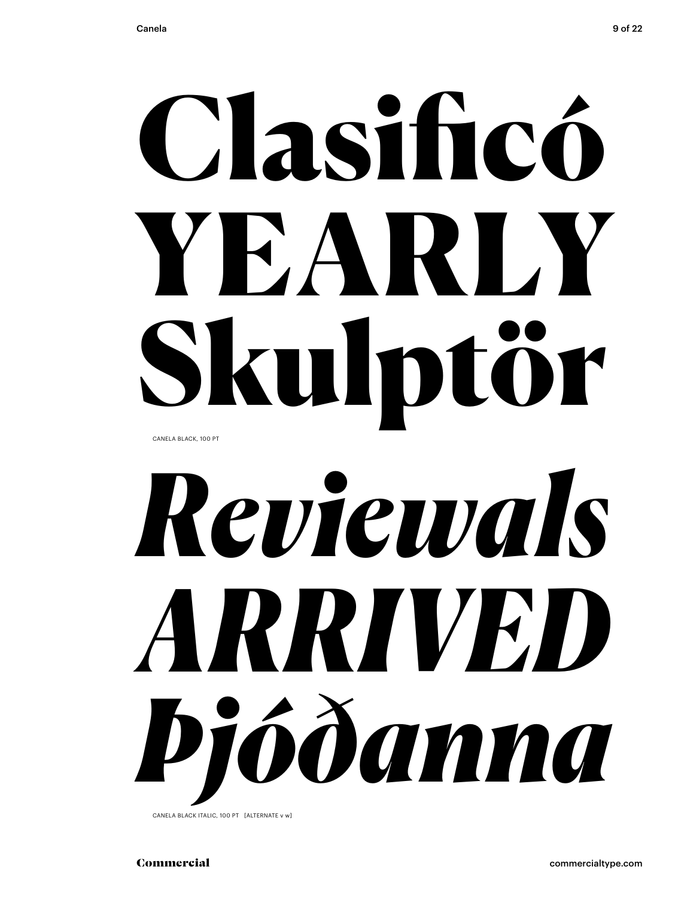## Clasificó YEARLY Skulptör CANELA BLACK, 100 PT

# *Reviewals ARRIVED Þjóðanna*

CANELA BLACK ITALIC, 100 PT [ALTERNATE v w]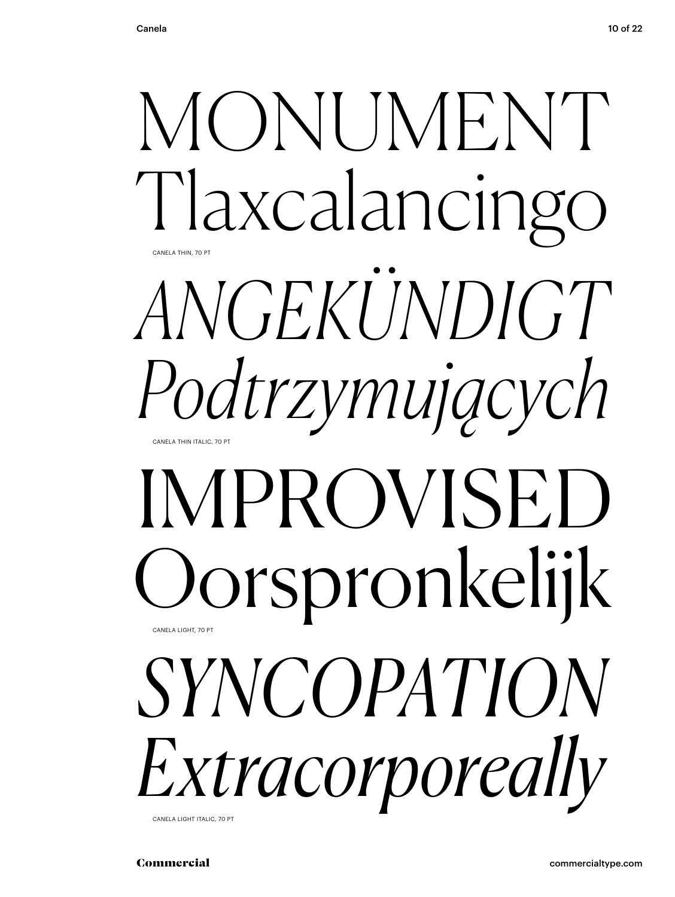

CANELA LIGHT ITALIC, 70 PT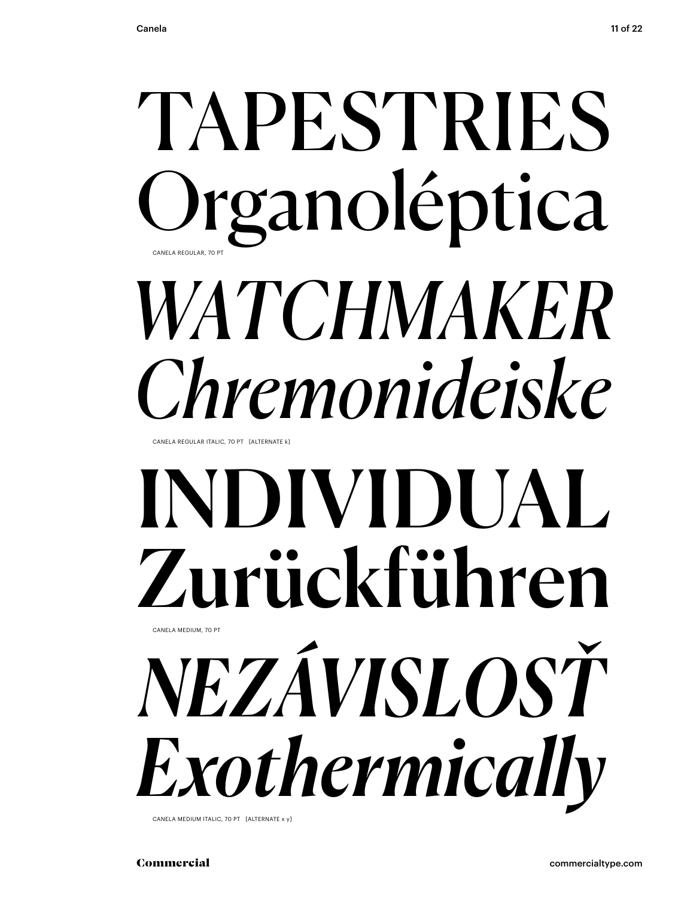## TAPESTRIES Organoléptica WATCHMAKER Chremonideiske

CANELA REGULAR ITALIC 70 PT [ALTERNATE K]

### INDIVIDUAL Zurückführen CANELA MEDIUM, 70 PT NEZÁVISLOSŤ Exothermically

CANELA MEDIUM ITALIC, 70 PT [ALTERNATE x v]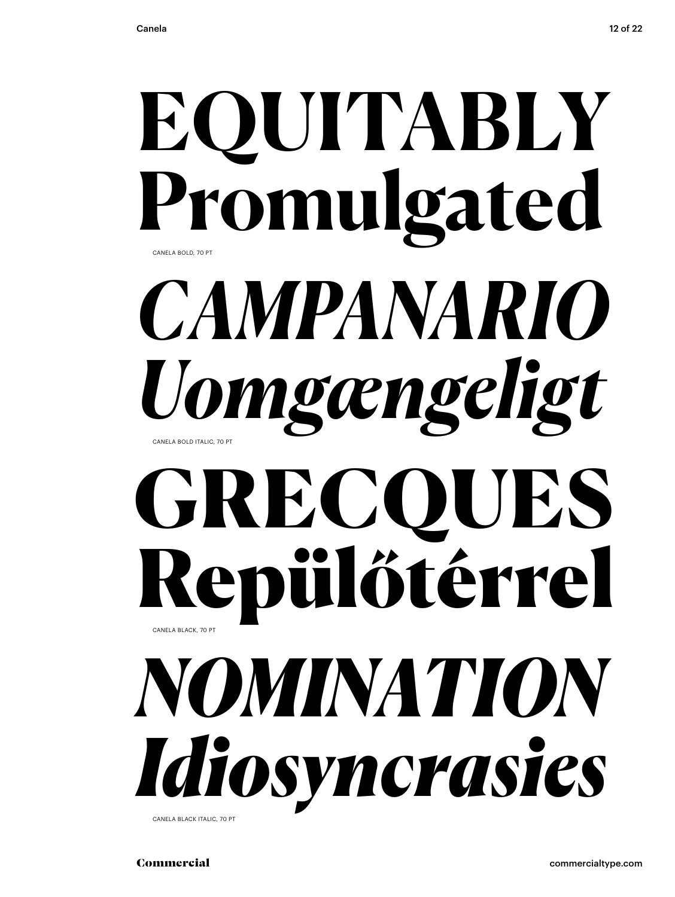### EQUITABLY Promulgated CANELA BOLD, 70 PT CAMPANARIO Uomgængeligt CANELA BOLD ITALIC 70 PT GRECQ UES Repülőtérrel CANELA BLACK, 70 PT NOMINATION Idiosyncrasies

CANELA BLACK ITALIC, 70 PT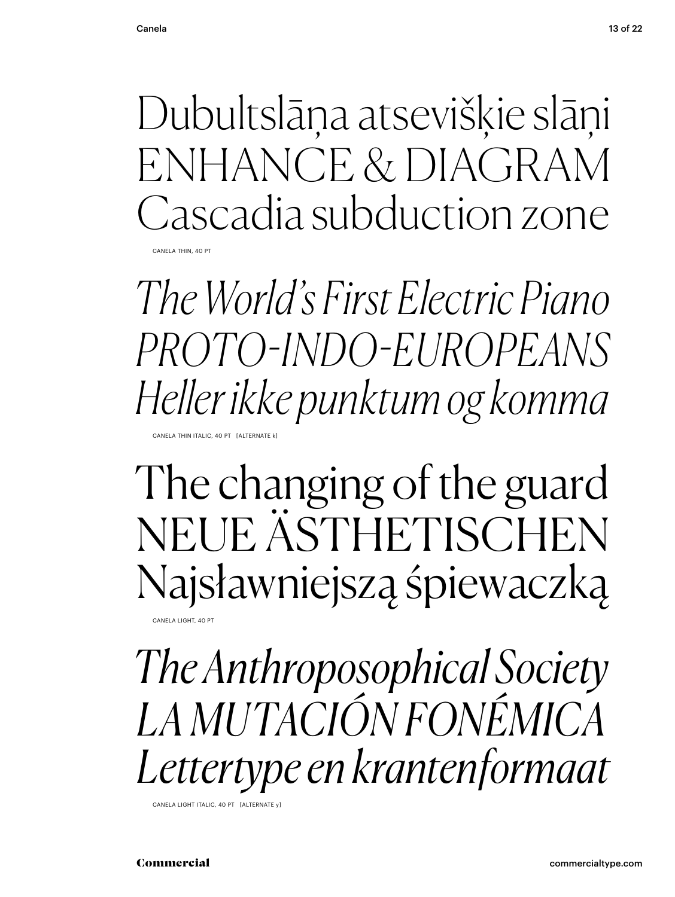Dubultslāņa atsevišķie slāņi ENHANCE & DIAGRAM Cascadia subduction zone CANELA THIN, 40 PT

The World's First Electric Piano *PROTO-INDO-EUROPEANS* Heller ikke punktum og komma

CANELA THIN ITALIC, 40 PT [ALTERNATE ]

The changing of the guard NEUE ÄSTHETISCHEN Najsławniejszą śpiewaczką

CANELA LIGHT, 40 PT

The Anthroposophical Society LA MUTACIÓN FONÉMICA Lettertype en krantenformaat

CANELA LIGHT ITALIC, 40 PT [ALTERNATE y]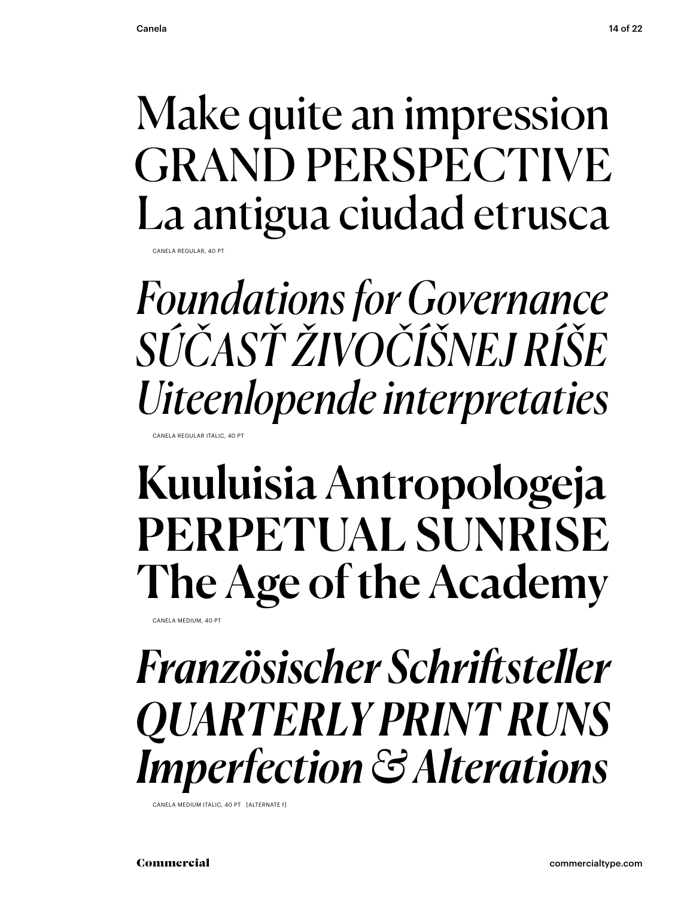### Make quite an impression GRAND PERSPECTIVE La antigua ciudad etrusca

CANELA REGULAR, 40 P

*Foundations for Governance SÚČASŤ ŽIVOČÍŠNEJ RÍŠE Uiteenlopende interpretaties*

CANELA REGULAR ITALIC, 40 PT

### Kuuluisia Antropologeja PERPETUAL SUNRISE The Age of the Academy

CANELA MEDIUM, 40 PT

### *Französischer Schriftsteller QUARTERLY PRINT RUNS Imperfection & Alterations*

CANELA MEDIUM ITALIC, 40 PT [ALTERNATE f]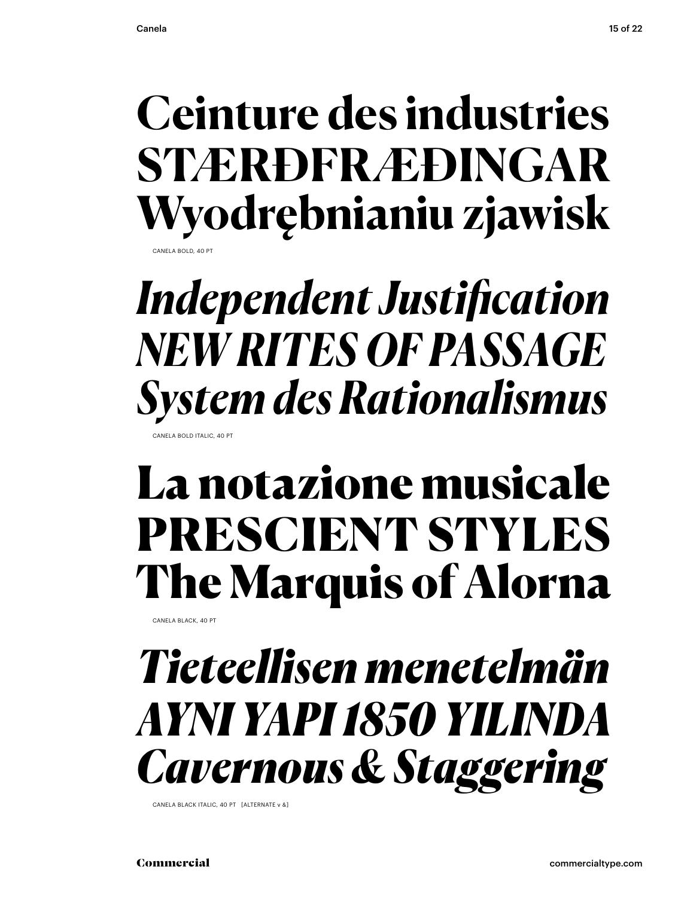#### **Ceinture des industries STÆRÐFRÆÐINGAR** Wyodrębnianiu zjawisk CANELA BOLD, 40 P

### **Independent Justification NEW RITES OF PASSAGE System des Rationalismus**

CANELA BOLD ITALIC, 40 PT

### La notazione musicale PRESCIENT STYLES The Marquis of Alorna

CANELA BLACK, 40 PT

### Tieteellisen menetelmän AYNI YAPI 1850 YILINDA **Cavernous & Staggering**

CANELA BLACK ITALIC, 40 PT [ALTERNATE v &]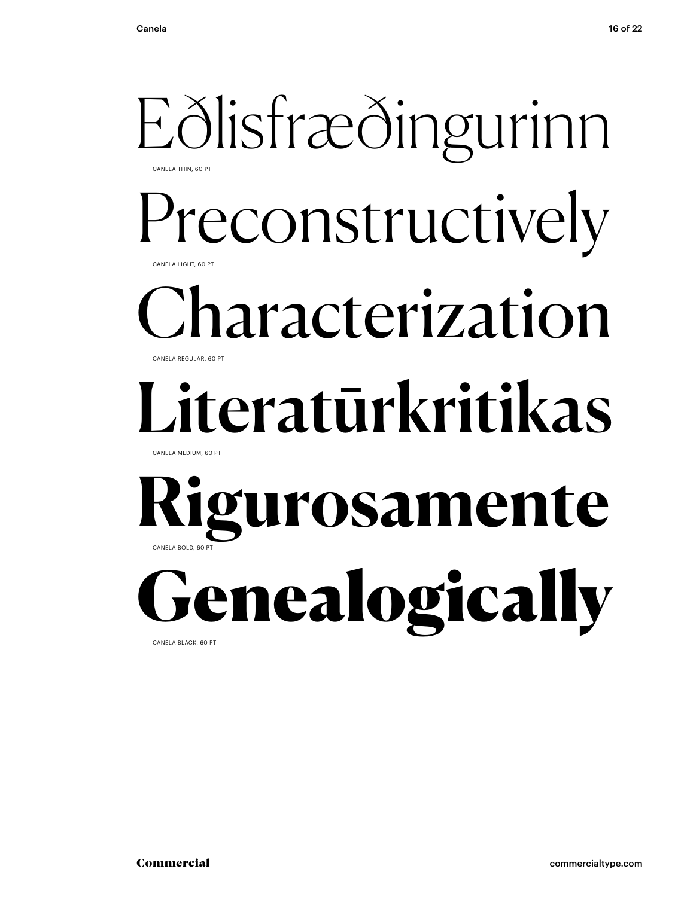#### Eðlisfræðingurinn CANELA THIN, 60 PT

Preconstructively CANELA LIGHT, 60 PT

#### haracterization CANELA REGULAR, 60 PT

## Literatūrkritikas

CANELA MEDIUM, 60 PT

#### **Rigurosamente** CANELA BOLD, 60 PT

**denealogically** CANELA BLACK, 60 PT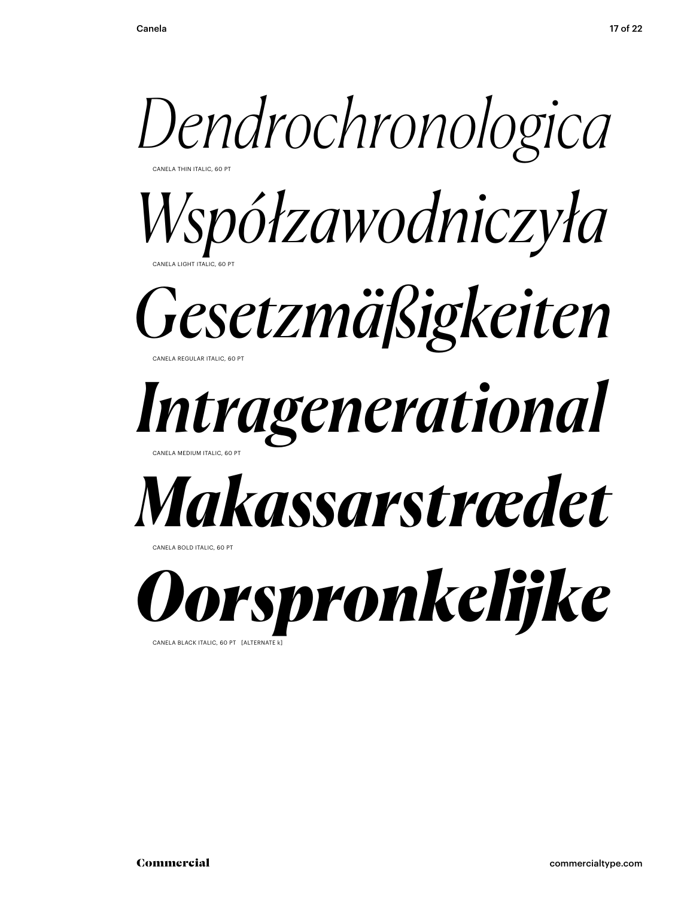

CANELA BLACK ITALIC, 60 PT [ALTERNATE K]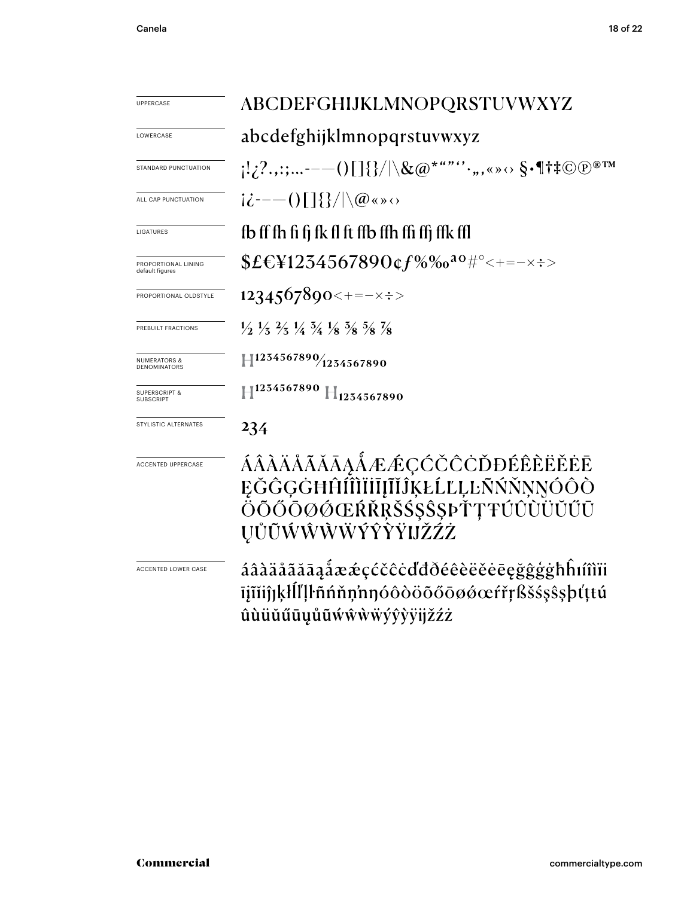| <b>UPPERCASE</b>                             | ABCDEFGHIJKLMNOPQRSTUVWXYZ                                                                                                                                                                                                                                                                                                                                                                                       |  |  |  |  |
|----------------------------------------------|------------------------------------------------------------------------------------------------------------------------------------------------------------------------------------------------------------------------------------------------------------------------------------------------------------------------------------------------------------------------------------------------------------------|--|--|--|--|
| LOWERCASE                                    | abcdefghijklmnopqrstuvwxyz                                                                                                                                                                                                                                                                                                                                                                                       |  |  |  |  |
| STANDARD PUNCTUATION                         | $\{ \{Z^2,\boldsymbol{\mu};\boldsymbol{z},\cdots\boldsymbol{\mu}-\boldsymbol{\mu} \} \} \} /  \lambda\langle \boldsymbol{\alpha}\rangle^{\star\,\boldsymbol{\mu}\,\boldsymbol{\nu}\,\boldsymbol{\nu}} \cdot \boldsymbol{\mu},\langle \boldsymbol{\alpha}\rangle \otimes \boldsymbol{\epsilon}^\text{-} \  \dagger \ddagger \mathbb{C}(\boldsymbol{\mathbb{D}}^{\,\circ\,\boldsymbol{\mu}\,\boldsymbol{\nu}}) \}$ |  |  |  |  |
| ALL CAP PUNCTUATION                          | $i\dot{\zeta}$ - $-$ ( ) $\bigcap$ $\{$ $\}\big/\big \setminus$ $\omega$ « » $\circ$                                                                                                                                                                                                                                                                                                                             |  |  |  |  |
| LIGATURES                                    | fb ff fh fi fj fk fl ft ffb ffh ffi ffj ffk ffl                                                                                                                                                                                                                                                                                                                                                                  |  |  |  |  |
| PROPORTIONAL LINING<br>default figures       | $$E&Y1254567890$ $$f\%$ % $a^o$ #° < + = - $\times$ $\div$ >                                                                                                                                                                                                                                                                                                                                                     |  |  |  |  |
| PROPORTIONAL OLDSTYLE                        | 1234567890<+=- $\times$ ÷>                                                                                                                                                                                                                                                                                                                                                                                       |  |  |  |  |
| PREBUILT FRACTIONS                           | $\frac{1}{2}$ $\frac{1}{3}$ $\frac{2}{3}$ $\frac{1}{4}$ $\frac{5}{4}$ $\frac{1}{8}$ $\frac{5}{8}$ $\frac{5}{8}$ $\frac{7}{8}$                                                                                                                                                                                                                                                                                    |  |  |  |  |
| <b>NUMERATORS &amp;</b><br>DENOMINATORS      | $\left  \frac{1234567890}{1254567890} \right.$                                                                                                                                                                                                                                                                                                                                                                   |  |  |  |  |
| <b>SUPERSCRIPT &amp;</b><br><b>SUBSCRIPT</b> | $\mathbb{H}^{1254567890}$ $\mathbb{H}_{1254567890}$                                                                                                                                                                                                                                                                                                                                                              |  |  |  |  |
| STYLISTIC ALTERNATES                         | 234                                                                                                                                                                                                                                                                                                                                                                                                              |  |  |  |  |
| <b>ACCENTED UPPERCASE</b>                    | ÁÂÀÄÅÃĂĀĀĄÅÆÆÇĆČĊŎĐÉÊÈËĔĒ<br>ĘĞĜĢĠĦĤſĨÌĬijĨĬĴĶŁĹĽĻĿÑŃŇNNÓÔÒ<br>ŎŌŐŌØØŒŔŘŖŠŚŞŜŞÞŤŢŦÚÛÙŬŬŰŪ<br><b>UŮŨŴŴŴŴÝŶŸIJŽŹŻ</b>                                                                                                                                                                                                                                                                                              |  |  |  |  |
| ACCENTED LOWER CASE                          | áâàäåãăāąåææçćčĉċďđðéêèëĕēęğĝģġħĥım̃ii<br>ījīĭiĵjķłĺľļŀñńňņ'nŋóôòöõőōøǿœŕřŗßšśşŝşþťţtú<br>ûùüŭűūyůũẃŵẁẅýŷỳÿijžźż                                                                                                                                                                                                                                                                                                 |  |  |  |  |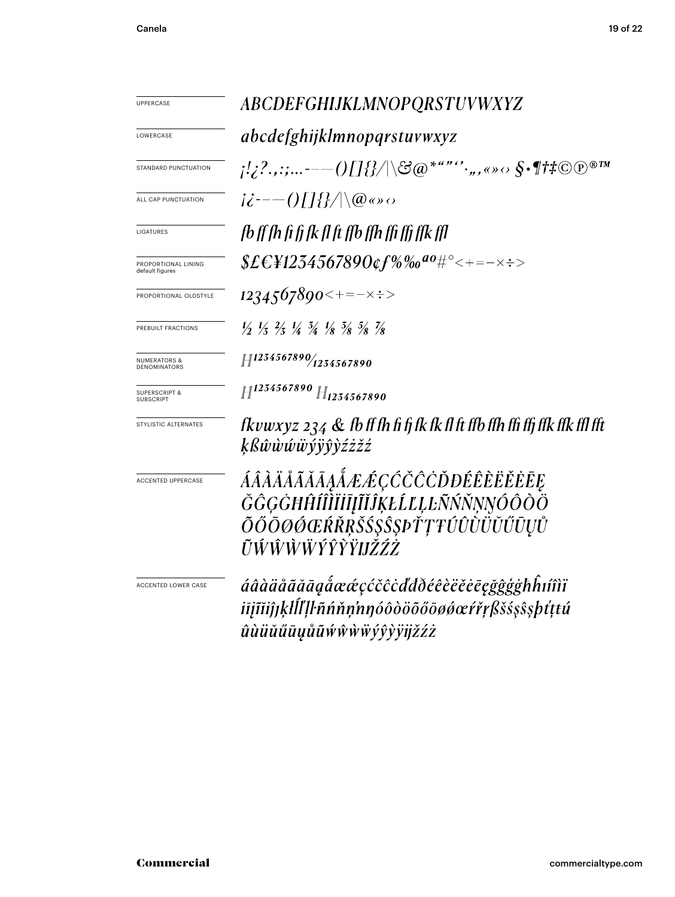| UPPERCASE                                      | ABCDEFGHIJKLMNOPQRSTUVWXYZ                                                                                                                                                                                                                                                    |  |  |  |  |
|------------------------------------------------|-------------------------------------------------------------------------------------------------------------------------------------------------------------------------------------------------------------------------------------------------------------------------------|--|--|--|--|
| LOWERCASE                                      | <i>abcdefghijklmnopqrstuvwxyz</i>                                                                                                                                                                                                                                             |  |  |  |  |
| STANDARD PUNCTUATION                           | $\{1/2^2\ldots\hspace{-0.1cm}\cdot\hspace{-0.1cm}-\hspace{-0.1cm}\cdots\hspace{-0.1cm}\cdot\hspace{-0.1cm}\cdots\hspace{-0.1cm}\cdot\hspace{-0.1cm}\beta/\ \langle\mathcal{B}\phi^{\ast a\,\prime\prime\prime\prime\prime},\ldots,\phi^{\ast}\phi^{\ast}\phi^{\ast}\rangle\}$ |  |  |  |  |
| ALL CAP PUNCTUATION                            | $i\dot{\epsilon}$ ---()[]{}/ $ \langle \varnothing \rangle $                                                                                                                                                                                                                  |  |  |  |  |
| LIGATURES                                      | fb ff fh fi fi fk fl ft ffb ffh ffi ffi ffk ffl                                                                                                                                                                                                                               |  |  |  |  |
| PROPORTIONAL LINING<br>default figures         | $$E&F4234567890$ ¢f%‰ª0#°<+=-×÷>                                                                                                                                                                                                                                              |  |  |  |  |
| PROPORTIONAL OLDSTYLE                          | $1234567890$ < + = - $\times$ $\div$ >                                                                                                                                                                                                                                        |  |  |  |  |
| PREBUILT FRACTIONS                             | $\frac{1}{2}$ $\frac{1}{3}$ $\frac{2}{3}$ $\frac{1}{4}$ $\frac{3}{4}$ $\frac{1}{8}$ $\frac{3}{8}$ $\frac{5}{8}$ $\frac{7}{8}$                                                                                                                                                 |  |  |  |  |
| <b>NUMERATORS &amp;</b><br><b>DENOMINATORS</b> | $H^{1234567890}/_{1254567890}$                                                                                                                                                                                                                                                |  |  |  |  |
| <b>SUPERSCRIPT &amp;</b><br><b>SUBSCRIPT</b>   | $H^{1234567890}H_{1234567890}$                                                                                                                                                                                                                                                |  |  |  |  |
| STYLISTIC ALTERNATES                           | fkvwxyz 234 $\&$ fb ff fh fi fj fk fk fl ft ffb ffh ffi ffj ffk ffk ffl fft<br>ķßŵŵŵŵÿŷŷźżžź                                                                                                                                                                                  |  |  |  |  |
| ACCENTED UPPERCASE                             | ÁÂÀÄÅÃĂĀĄÅÆÆÇĆČĈÒĐÉÊÈËĔĒĒ<br>ĞĜĢĠĦĤÍÎÌÏĬĪĮĨĬĴĶŁĹĽĻĿÑŃŇŅŊÓÔŎÖ                                                                                                                                                                                                                  |  |  |  |  |
|                                                | ÕŐŌØŐŒŔŘŖŠŚŞŜŞÞŤŢŦÚÛÙÜŬŰŪŲŮ<br>ŨŴŴŴŴŶŶŶŸIJŽŹŻ                                                                                                                                                                                                                                 |  |  |  |  |
| ACCENTED LOWER CASE                            | áâàäåãããaaẩææçćčĉċďđðéêèëĕēegğĝģġħĥıíîìï                                                                                                                                                                                                                                      |  |  |  |  |
|                                                | iījīĭiĵjķŀĺľļŀñńňņ'nŋóôòöõőōøǿœŕřŗßšśşŝşþťţtú<br>ûùüŭűūyůũẃŵẁŸŷŷÿijžźż                                                                                                                                                                                                        |  |  |  |  |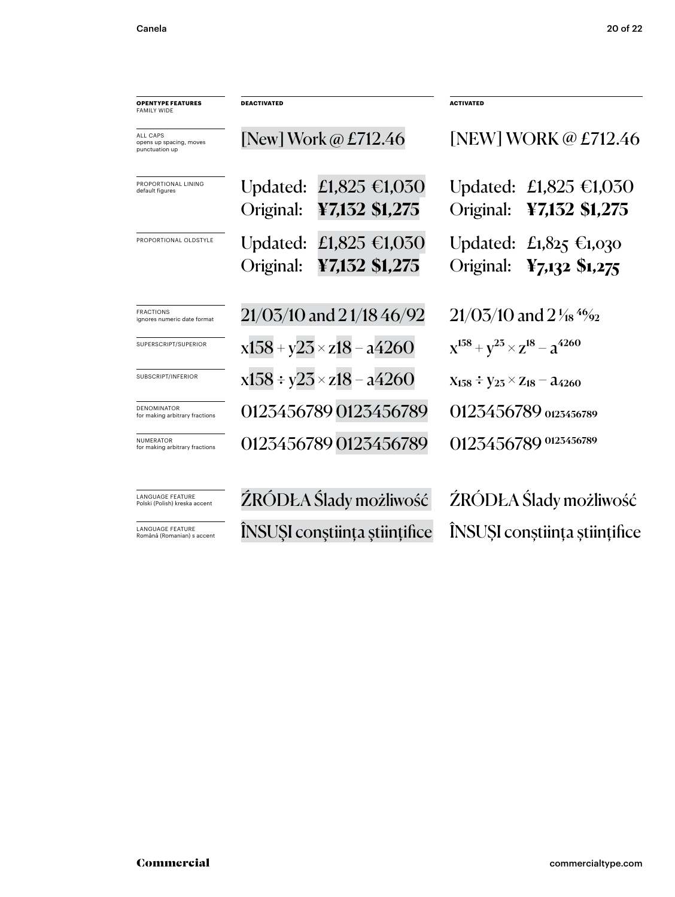| <b>OPENTYPE FEATURES</b><br>FAMILY WIDE               | <b>DEACTIVATED</b>          |                                          | <b>ACTIVATED</b>                            |                                                    |
|-------------------------------------------------------|-----------------------------|------------------------------------------|---------------------------------------------|----------------------------------------------------|
| ALL CAPS<br>opens up spacing, moves<br>punctuation up | [New] Work $\omega$ £712.46 |                                          | [NEW] WORK @ £712.46                        |                                                    |
| PROPORTIONAL LINING<br>default figures                | Updated:<br>Original:       | £1,825 €1,030<br>¥7,132 \$1,275          | Original:                                   | Updated: £1,825 €1,030<br>¥7,132 \$1,275           |
| PROPORTIONAL OLDSTYLE                                 | Original:                   | Updated: £1,825 €1,030<br>¥7,132 \$1,275 | Original:                                   | Updated: $£1,825 \in 1,030$<br>$Y_{7,132}$ \$1,275 |
| <b>FRACTIONS</b><br>ignores numeric date format       |                             | $21/03/10$ and $21/1846/92$              | $21/03/10$ and $2\frac{1}{18}$ 4%           |                                                    |
| SUPERSCRIPT/SUPERIOR                                  |                             | $x158 + y23 \times z18 - a4260$          | $x^{158} + y^{25} \times z^{18} - a^{4260}$ |                                                    |
| SUBSCRIPT/INFERIOR                                    |                             | $x158 \div y23 \times z18 - a4260$       | $X_{158} \div Y_{25} \times Z_{18} - 24260$ |                                                    |
| <b>DENOMINATOR</b><br>for making arbitrary fractions  |                             | 0123456789 0123456789                    | 0123456789 0123456789                       |                                                    |
| NUMERATOR<br>for making arbitrary fractions           |                             | 0123456789 0123456789                    |                                             | 0123456789 0123456789                              |
| LANGUAGE FEATURE<br>Polski (Polish) kreska accent     |                             | ŹRÓDŁA Ślady możliwość                   | ŹRÓDŁA Ślady możliwość                      |                                                    |
| LANGUAGE FEATURE<br>Română (Romanian) s accent        |                             | <b>INSUSI</b> constiința științifice     | ÎNSUȘI conștiința științifice               |                                                    |

ÎNSUŞI conştiinţa ştiinţifice

Commercial commercialtype.com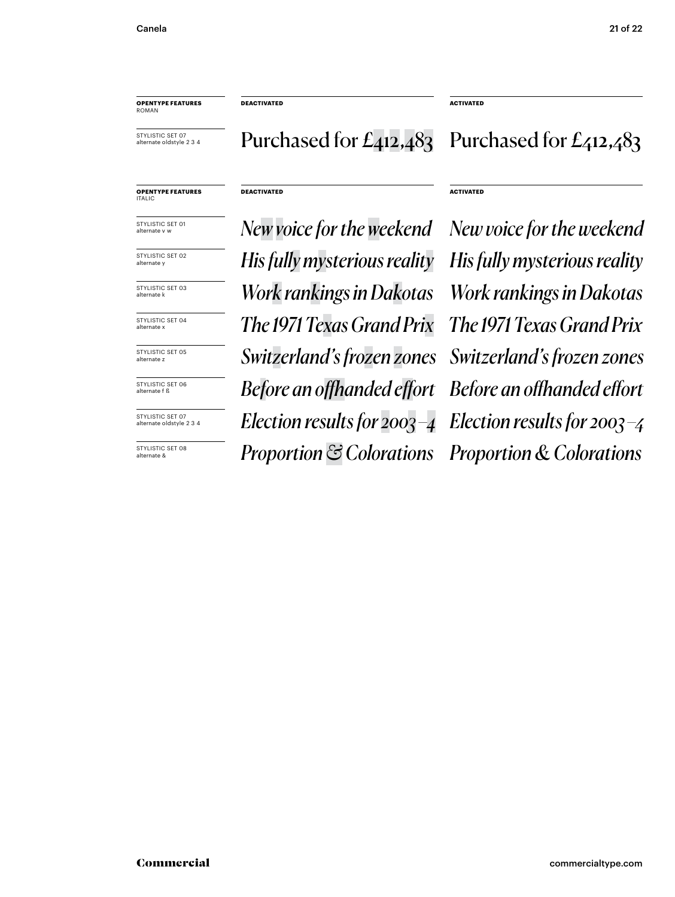**DEACTIVATED ACTIVATED**

**DEACTIVATED ACTIVATED**

STYLISTIC SET 07 alternate oldstyle 2 3 4

**OPENTYPE FEATURES** ROMAN

#### Purchased for  $E_{412,483}$  Purchased for  $E_{412,483}$

#### **OPENTYPE FEATURES** ITALIC

STYLISTIC SET 01 alternate v w

STYLISTIC SET 02 alternate y

STYLISTIC SET 03 alternate k

STYLISTIC SET 04 alternate >

STYLISTIC SET 05 alternate z

STYLISTIC SET 06 alternate f ß

STYLISTIC SET 07 alternate oldstyle 2 3 4

STYLISTIC SET 08 alternate &

*The 1971 Texas Grand Prix The 1971 Texas Grand Prix Switzerland's frozen zones Switzerland's frozen zones Before an offhanded effort Before an offhanded effort Election results for 2003 –4 Election results for 2003 –4 Proportion & Colorations Proportion & Colorations His fully mysterious reality His fully mysterious reality Work rankings in Dakotas Work rankings in Dakotas*

*New voice for the weekend New voice for the weekend*